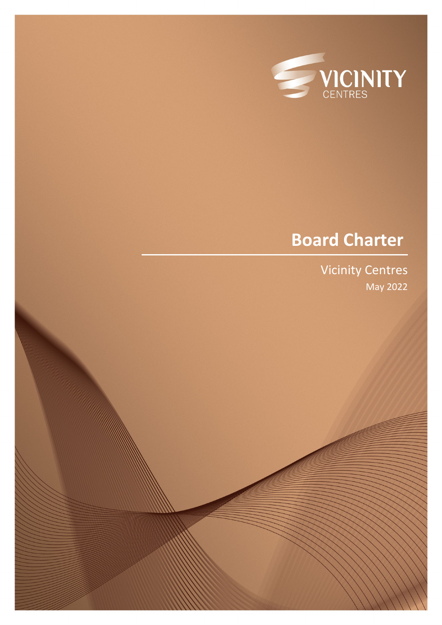

# **Board Charter**

Vicinity Centres May 2022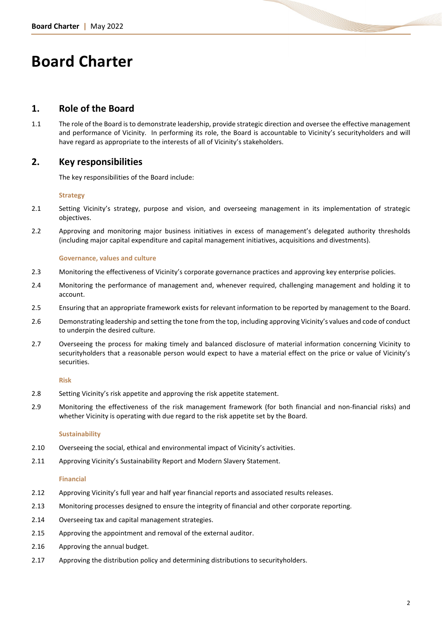## **Board Charter**

## **1. Role of the Board**

1.1 The role of the Board is to demonstrate leadership, provide strategic direction and oversee the effective management and performance of Vicinity. In performing its role, the Board is accountable to Vicinity's securityholders and will have regard as appropriate to the interests of all of Vicinity's stakeholders.

## **2. Key responsibilities**

The key responsibilities of the Board include:

#### **Strategy**

- 2.1 Setting Vicinity's strategy, purpose and vision, and overseeing management in its implementation of strategic objectives.
- 2.2 Approving and monitoring major business initiatives in excess of management's delegated authority thresholds (including major capital expenditure and capital management initiatives, acquisitions and divestments).

#### **Governance, values and culture**

- 2.3 Monitoring the effectiveness of Vicinity's corporate governance practices and approving key enterprise policies.
- 2.4 Monitoring the performance of management and, whenever required, challenging management and holding it to account.
- 2.5 Ensuring that an appropriate framework exists for relevant information to be reported by management to the Board.
- 2.6 Demonstrating leadership and setting the tone from the top, including approving Vicinity's values and code of conduct to underpin the desired culture.
- 2.7 Overseeing the process for making timely and balanced disclosure of material information concerning Vicinity to securityholders that a reasonable person would expect to have a material effect on the price or value of Vicinity's securities.

#### **Risk**

- 2.8 Setting Vicinity's risk appetite and approving the risk appetite statement.
- 2.9 Monitoring the effectiveness of the risk management framework (for both financial and non-financial risks) and whether Vicinity is operating with due regard to the risk appetite set by the Board.

#### **Sustainability**

- 2.10 Overseeing the social, ethical and environmental impact of Vicinity's activities.
- 2.11 Approving Vicinity's Sustainability Report and Modern Slavery Statement.

#### **Financial**

- 2.12 Approving Vicinity's full year and half year financial reports and associated results releases.
- 2.13 Monitoring processes designed to ensure the integrity of financial and other corporate reporting.
- 2.14 Overseeing tax and capital management strategies.
- 2.15 Approving the appointment and removal of the external auditor.
- 2.16 Approving the annual budget.
- 2.17 Approving the distribution policy and determining distributions to securityholders.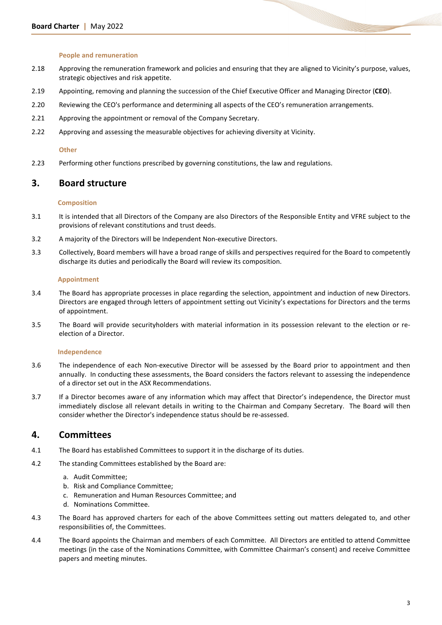#### **People and remuneration**

- 2.18 Approving the remuneration framework and policies and ensuring that they are aligned to Vicinity's purpose, values, strategic objectives and risk appetite.
- 2.19 Appointing, removing and planning the succession of the Chief Executive Officer and Managing Director (**CEO**).
- 2.20 Reviewing the CEO's performance and determining all aspects of the CEO's remuneration arrangements.
- 2.21 Approving the appointment or removal of the Company Secretary.
- 2.22 Approving and assessing the measurable objectives for achieving diversity at Vicinity.

#### **Other**

2.23 Performing other functions prescribed by governing constitutions, the law and regulations.

## **3. Board structure**

#### **Composition**

- 3.1 It is intended that all Directors of the Company are also Directors of the Responsible Entity and VFRE subject to the provisions of relevant constitutions and trust deeds.
- 3.2 A majority of the Directors will be Independent Non-executive Directors.
- 3.3 Collectively, Board members will have a broad range of skills and perspectives required for the Board to competently discharge its duties and periodically the Board will review its composition.

#### **Appointment**

- 3.4 The Board has appropriate processes in place regarding the selection, appointment and induction of new Directors. Directors are engaged through letters of appointment setting out Vicinity's expectations for Directors and the terms of appointment.
- 3.5 The Board will provide securityholders with material information in its possession relevant to the election or reelection of a Director.

#### **Independence**

- 3.6 The independence of each Non-executive Director will be assessed by the Board prior to appointment and then annually. In conducting these assessments, the Board considers the factors relevant to assessing the independence of a director set out in the ASX Recommendations.
- 3.7 If a Director becomes aware of any information which may affect that Director's independence, the Director must immediately disclose all relevant details in writing to the Chairman and Company Secretary. The Board will then consider whether the Director's independence status should be re-assessed.

## **4. Committees**

- 4.1 The Board has established Committees to support it in the discharge of its duties.
- 4.2 The standing Committees established by the Board are:
	- a. Audit Committee;
	- b. Risk and Compliance Committee;
	- c. Remuneration and Human Resources Committee; and
	- d. Nominations Committee.
- 4.3 The Board has approved charters for each of the above Committees setting out matters delegated to, and other responsibilities of, the Committees.
- 4.4 The Board appoints the Chairman and members of each Committee. All Directors are entitled to attend Committee meetings (in the case of the Nominations Committee, with Committee Chairman's consent) and receive Committee papers and meeting minutes.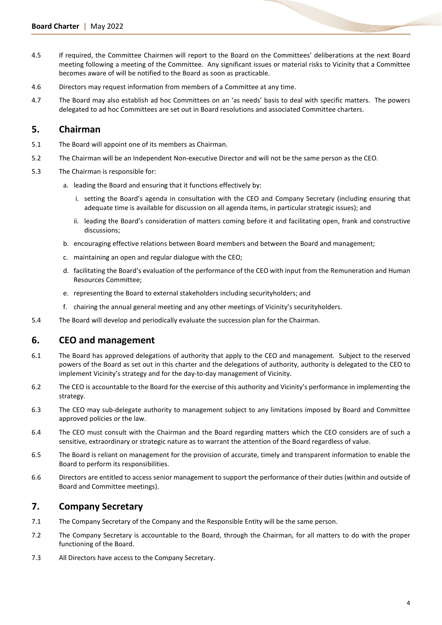- 4.5 If required, the Committee Chairmen will report to the Board on the Committees' deliberations at the next Board meeting following a meeting of the Committee. Any significant issues or material risks to Vicinity that a Committee becomes aware of will be notified to the Board as soon as practicable.
- 4.6 Directors may request information from members of a Committee at any time.
- 4.7 The Board may also establish ad hoc Committees on an 'as needs' basis to deal with specific matters. The powers delegated to ad hoc Committees are set out in Board resolutions and associated Committee charters.

## **5. Chairman**

- 5.1 The Board will appoint one of its members as Chairman.
- 5.2 The Chairman will be an Independent Non-executive Director and will not be the same person as the CEO.
- 5.3 The Chairman is responsible for:
	- a. leading the Board and ensuring that it functions effectively by:
		- i. setting the Board's agenda in consultation with the CEO and Company Secretary (including ensuring that adequate time is available for discussion on all agenda items, in particular strategic issues); and
		- ii. leading the Board's consideration of matters coming before it and facilitating open, frank and constructive discussions;
	- b. encouraging effective relations between Board members and between the Board and management;
	- c. maintaining an open and regular dialogue with the CEO;
	- d. facilitating the Board's evaluation of the performance of the CEO with input from the Remuneration and Human Resources Committee;
	- e. representing the Board to external stakeholders including securityholders; and
	- f. chairing the annual general meeting and any other meetings of Vicinity's securityholders.
- 5.4 The Board will develop and periodically evaluate the succession plan for the Chairman.

## **6. CEO and management**

- 6.1 The Board has approved delegations of authority that apply to the CEO and management. Subject to the reserved powers of the Board as set out in this charter and the delegations of authority, authority is delegated to the CEO to implement Vicinity's strategy and for the day-to-day management of Vicinity.
- 6.2 The CEO is accountable to the Board for the exercise of this authority and Vicinity's performance in implementing the strategy.
- 6.3 The CEO may sub-delegate authority to management subject to any limitations imposed by Board and Committee approved policies or the law.
- 6.4 The CEO must consult with the Chairman and the Board regarding matters which the CEO considers are of such a sensitive, extraordinary or strategic nature as to warrant the attention of the Board regardless of value.
- 6.5 The Board is reliant on management for the provision of accurate, timely and transparent information to enable the Board to perform its responsibilities.
- 6.6 Directors are entitled to access senior management to support the performance of their duties (within and outside of Board and Committee meetings).

### **7. Company Secretary**

- 7.1 The Company Secretary of the Company and the Responsible Entity will be the same person.
- 7.2 The Company Secretary is accountable to the Board, through the Chairman, for all matters to do with the proper functioning of the Board.
- 7.3 All Directors have access to the Company Secretary.